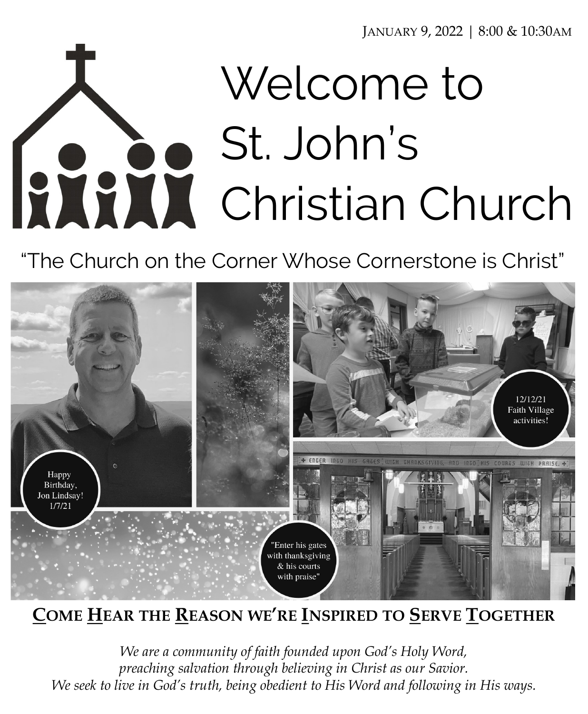JANUARY 9, 2022 | 8:00 & 10:30AM

# Welcome to St. John's Christian Church

"The Church on the Corner Whose Cornerstone is Christ"



# **COME HEAR THE REASON WE'RE INSPIRED TO SERVE TOGETHER**

*We are a community of faith founded upon God's Holy Word, preaching salvation through believing in Christ as our Savior. We seek to live in God's truth, being obedient to His Word and following in His ways.*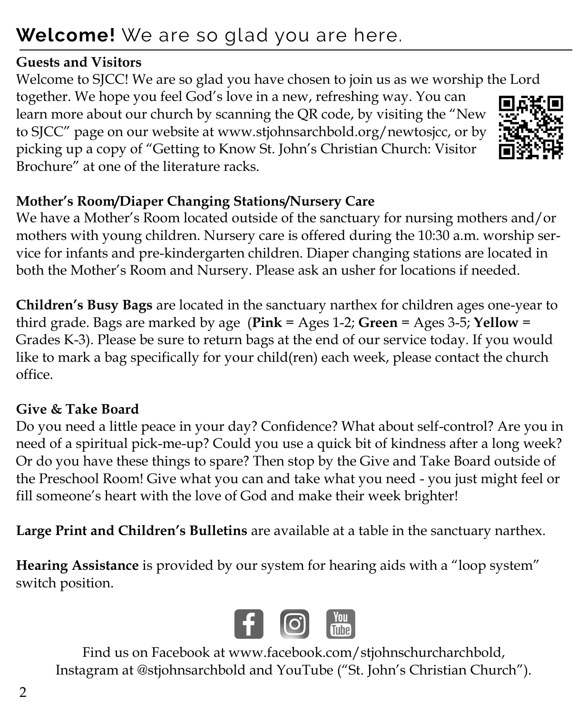# **Welcome!** We are so glad you are here.

#### **Guests and Visitors**

Welcome to SJCC! We are so glad you have chosen to join us as we worship the Lord together. We hope you feel God's love in a new, refreshing way. You can learn more about our church by scanning the QR code, by visiting the "New to SJCC" page on our website at www.stjohnsarchbold.org/newtosjcc, or by picking up a copy of "Getting to Know St. John's Christian Church: Visitor Brochure" at one of the literature racks.



# **Mother's Room/Diaper Changing Stations/Nursery Care**

We have a Mother's Room located outside of the sanctuary for nursing mothers and/or mothers with young children. Nursery care is offered during the 10:30 a.m. worship service for infants and pre-kindergarten children. Diaper changing stations are located in both the Mother's Room and Nursery. Please ask an usher for locations if needed.

**Children's Busy Bags** are located in the sanctuary narthex for children ages one-year to third grade. Bags are marked by age (**Pink** = Ages 1-2; **Green** = Ages 3-5; **Yellow** = Grades K-3). Please be sure to return bags at the end of our service today. If you would like to mark a bag specifically for your child(ren) each week, please contact the church office.

# **Give & Take Board**

Do you need a little peace in your day? Confidence? What about self-control? Are you in need of a spiritual pick-me-up? Could you use a quick bit of kindness after a long week? Or do you have these things to spare? Then stop by the Give and Take Board outside of the Preschool Room! Give what you can and take what you need - you just might feel or fill someone's heart with the love of God and make their week brighter!

**Large Print and Children's Bulletins** are available at a table in the sanctuary narthex.

**Hearing Assistance** is provided by our system for hearing aids with a "loop system" switch position.



Find us on Facebook at www.facebook.com/stjohnschurcharchbold, Instagram at @stjohnsarchbold and YouTube ("St. John's Christian Church").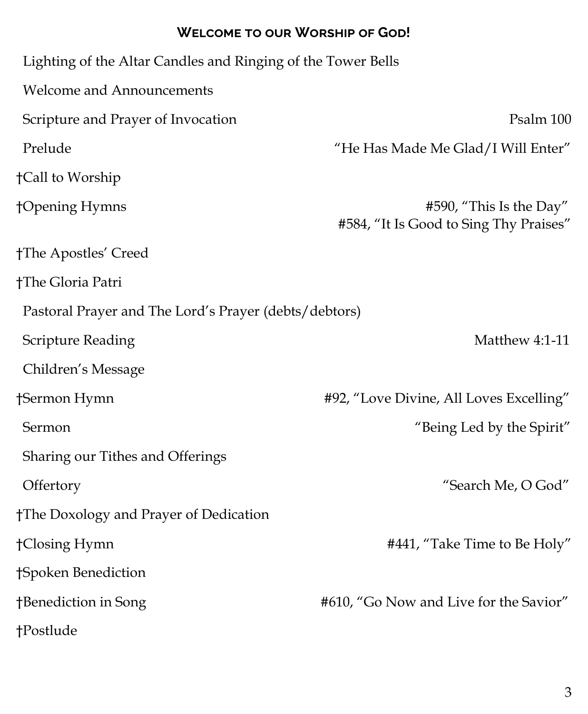#### **Welcome to our Worship of God!**

| Lighting of the Altar Candles and Ringing of the Tower Bells |                                                                   |
|--------------------------------------------------------------|-------------------------------------------------------------------|
| <b>Welcome and Announcements</b>                             |                                                                   |
| Scripture and Prayer of Invocation                           | Psalm 100                                                         |
| Prelude                                                      | "He Has Made Me Glad/I Will Enter"                                |
| †Call to Worship                                             |                                                                   |
| †Opening Hymns                                               | #590, "This Is the Day"<br>#584, "It Is Good to Sing Thy Praises" |
| †The Apostles' Creed                                         |                                                                   |
| †The Gloria Patri                                            |                                                                   |
| Pastoral Prayer and The Lord's Prayer (debts/debtors)        |                                                                   |
| <b>Scripture Reading</b>                                     | Matthew 4:1-11                                                    |
| Children's Message                                           |                                                                   |
| †Sermon Hymn                                                 | #92, "Love Divine, All Loves Excelling"                           |
| Sermon                                                       | "Being Led by the Spirit"                                         |
| Sharing our Tithes and Offerings                             |                                                                   |
| Offertory                                                    | "Search Me, O God"                                                |
| †The Doxology and Prayer of Dedication                       |                                                                   |
| †Closing Hymn                                                | #441, "Take Time to Be Holy"                                      |
| †Spoken Benediction                                          |                                                                   |
| †Benediction in Song                                         | #610, "Go Now and Live for the Savior"                            |
| †Postlude                                                    |                                                                   |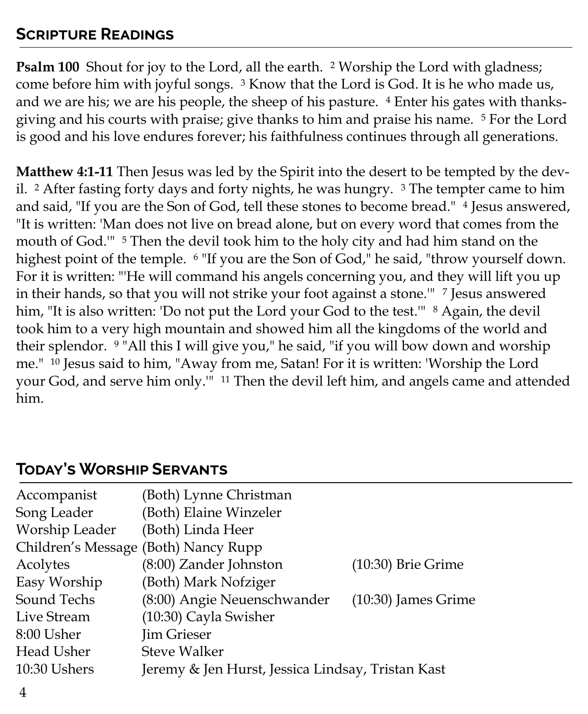#### **Scripture Readings**

**Psalm 100** Shout for joy to the Lord, all the earth. <sup>2</sup> Worship the Lord with gladness; come before him with joyful songs. <sup>3</sup> Know that the Lord is God. It is he who made us, and we are his; we are his people, the sheep of his pasture. <sup>4</sup> Enter his gates with thanksgiving and his courts with praise; give thanks to him and praise his name. <sup>5</sup> For the Lord is good and his love endures forever; his faithfulness continues through all generations.

**Matthew 4:1-11** Then Jesus was led by the Spirit into the desert to be tempted by the devil.  $2$  After fasting forty days and forty nights, he was hungry.  $3$  The tempter came to him and said, "If you are the Son of God, tell these stones to become bread." <sup>4</sup> Jesus answered, "It is written: 'Man does not live on bread alone, but on every word that comes from the mouth of God."<sup>5</sup> Then the devil took him to the holy city and had him stand on the highest point of the temple. <sup>6</sup> "If you are the Son of God," he said, "throw yourself down. For it is written: "'He will command his angels concerning you, and they will lift you up in their hands, so that you will not strike your foot against a stone." <sup>7</sup> Jesus answered him, "It is also written: 'Do not put the Lord your God to the test.'" <sup>8</sup> Again, the devil took him to a very high mountain and showed him all the kingdoms of the world and their splendor. <sup>9</sup> "All this I will give you," he said, "if you will bow down and worship me." <sup>10</sup> Jesus said to him, "Away from me, Satan! For it is written: 'Worship the Lord your God, and serve him only.'" <sup>11</sup> Then the devil left him, and angels came and attended him.

| Accompanist    | (Both) Lynne Christman                            |                       |
|----------------|---------------------------------------------------|-----------------------|
| Song Leader    | (Both) Elaine Winzeler                            |                       |
| Worship Leader | (Both) Linda Heer                                 |                       |
|                | Children's Message (Both) Nancy Rupp              |                       |
| Acolytes       | (8:00) Zander Johnston                            | $(10:30)$ Brie Grime  |
| Easy Worship   | (Both) Mark Nofziger                              |                       |
| Sound Techs    | (8:00) Angie Neuenschwander                       | $(10:30)$ James Grime |
| Live Stream    | (10:30) Cayla Swisher                             |                       |
| 8:00 Usher     | <b>Jim Grieser</b>                                |                       |
| Head Usher     | <b>Steve Walker</b>                               |                       |
| 10:30 Ushers   | Jeremy & Jen Hurst, Jessica Lindsay, Tristan Kast |                       |
|                |                                                   |                       |

#### **Today's Worship Servants**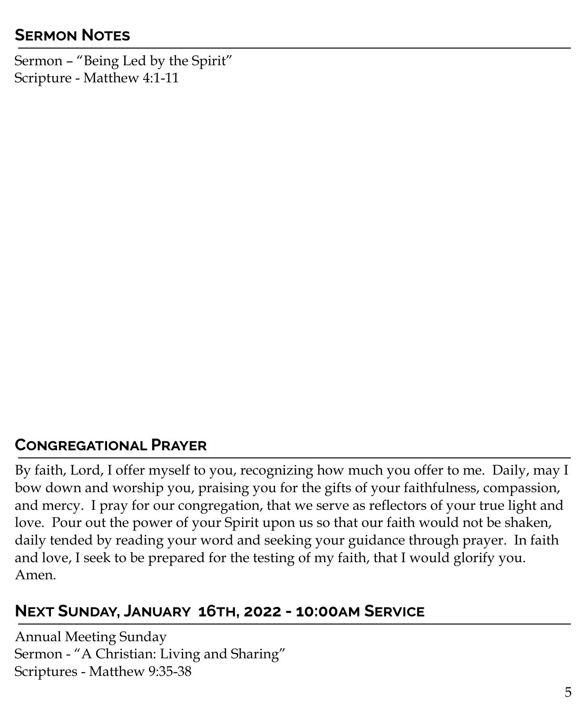# **Sermon Notes**

Sermon – "Being Led by the Spirit" Scripture - Matthew 4:1-11

#### **Congregational Prayer**

By faith, Lord, I offer myself to you, recognizing how much you offer to me. Daily, may I bow down and worship you, praising you for the gifts of your faithfulness, compassion, and mercy. I pray for our congregation, that we serve as reflectors of your true light and love. Pour out the power of your Spirit upon us so that our faith would not be shaken, daily tended by reading your word and seeking your guidance through prayer. In faith and love, I seek to be prepared for the testing of my faith, that I would glorify you. Amen.

#### **Next Sunday, January 16th, 2022 - 10:00am Service**

Annual Meeting Sunday Sermon - "A Christian: Living and Sharing" Scriptures - Matthew 9:35-38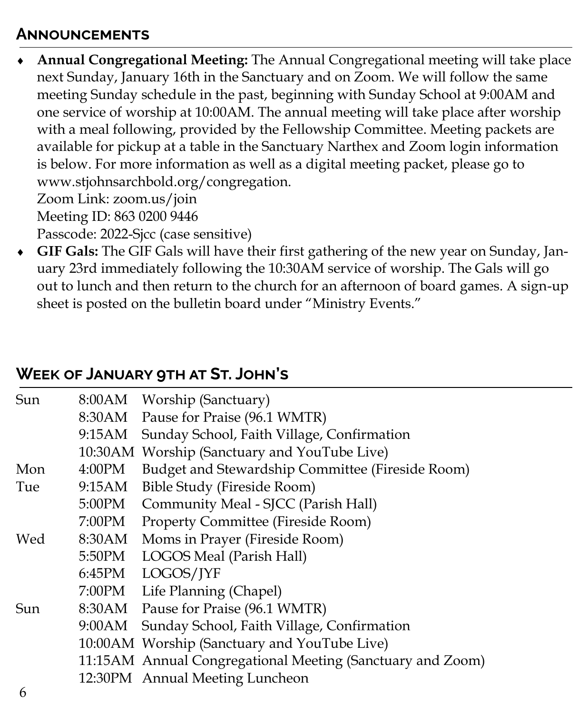#### **Announcements**

 **Annual Congregational Meeting:** The Annual Congregational meeting will take place next Sunday, January 16th in the Sanctuary and on Zoom. We will follow the same meeting Sunday schedule in the past, beginning with Sunday School at 9:00AM and one service of worship at 10:00AM. The annual meeting will take place after worship with a meal following, provided by the Fellowship Committee. Meeting packets are available for pickup at a table in the Sanctuary Narthex and Zoom login information is below. For more information as well as a digital meeting packet, please go to www.stjohnsarchbold.org/congregation. Zoom Link: zoom.us/join Meeting ID: 863 0200 9446

Passcode: 2022-Sjcc (case sensitive)

 **GIF Gals:** The GIF Gals will have their first gathering of the new year on Sunday, January 23rd immediately following the 10:30AM service of worship. The Gals will go out to lunch and then return to the church for an afternoon of board games. A sign-up sheet is posted on the bulletin board under "Ministry Events."

#### **Week of January 9th at St. John's**

| Sun        |        | 8:00AM Worship (Sanctuary)                                 |
|------------|--------|------------------------------------------------------------|
|            |        | 8:30AM Pause for Praise (96.1 WMTR)                        |
|            |        | 9:15AM Sunday School, Faith Village, Confirmation          |
|            |        | 10:30AM Worship (Sanctuary and YouTube Live)               |
| Mon        | 4:00PM | Budget and Stewardship Committee (Fireside Room)           |
| Tue        | 9:15AM | Bible Study (Fireside Room)                                |
|            |        | 5:00PM Community Meal - SJCC (Parish Hall)                 |
|            |        | 7:00PM Property Committee (Fireside Room)                  |
| Wed        |        | 8:30AM Moms in Prayer (Fireside Room)                      |
|            |        | 5:50PM LOGOS Meal (Parish Hall)                            |
|            |        | 6:45PM LOGOS/JYF                                           |
|            |        | 7:00PM Life Planning (Chapel)                              |
| Sun        |        | 8:30AM Pause for Praise (96.1 WMTR)                        |
|            | 9:00AM | Sunday School, Faith Village, Confirmation                 |
|            |        | 10:00 AM Worship (Sanctuary and YouTube Live)              |
|            |        | 11:15AM Annual Congregational Meeting (Sanctuary and Zoom) |
|            |        | 12:30PM Annual Meeting Luncheon                            |
| $\epsilon$ |        |                                                            |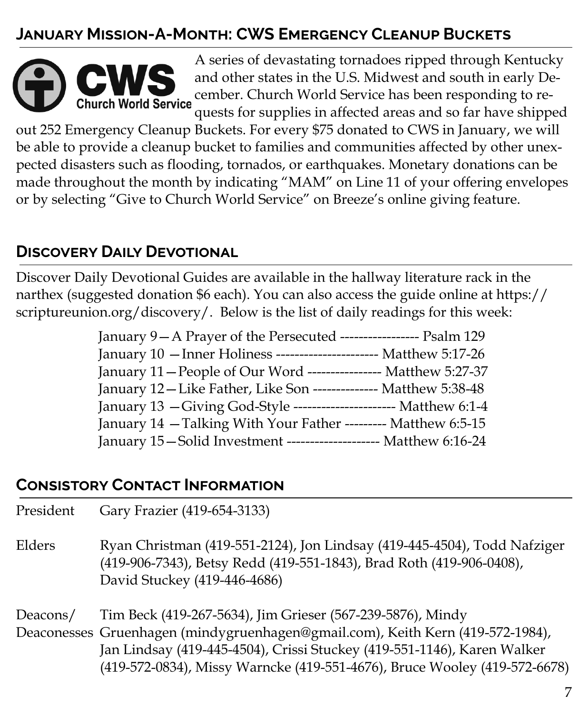# **January Mission-A-Month: CWS Emergency Cleanup Buckets**



A series of devastating tornadoes ripped through Kentucky and other states in the U.S. Midwest and south in early December. Church World Service has been responding to requests for supplies in affected areas and so far have shipped

out 252 Emergency Cleanup Buckets. For every \$75 donated to CWS in January, we will be able to provide a cleanup bucket to families and communities affected by other unexpected disasters such as flooding, tornados, or earthquakes. Monetary donations can be made throughout the month by indicating "MAM" on Line 11 of your offering envelopes or by selecting "Give to Church World Service" on Breeze's online giving feature.

# **Discovery Daily Devotional**

Discover Daily Devotional Guides are available in the hallway literature rack in the narthex (suggested donation \$6 each). You can also access the guide online at https:// scriptureunion.org/discovery/. Below is the list of daily readings for this week:

| January 9-A Prayer of the Persecuted ----------------- Psalm 129    |
|---------------------------------------------------------------------|
| January 10 - Inner Holiness ----------------------- Matthew 5:17-26 |
| January 11 – People of Our Word ---------------- Matthew 5:27-37    |
| January 12 - Like Father, Like Son -------------- Matthew 5:38-48   |
| January 13 - Giving God-Style ---------------------- Matthew 6:1-4  |
| January 14 - Talking With Your Father --------- Matthew 6:5-15      |
| January 15 - Solid Investment -------------------- Matthew 6:16-24  |

#### **Consistory Contact Information**

| President | Gary Frazier (419-654-3133)                                                                                                                                                                                                                                                                          |
|-----------|------------------------------------------------------------------------------------------------------------------------------------------------------------------------------------------------------------------------------------------------------------------------------------------------------|
| Elders    | Ryan Christman (419-551-2124), Jon Lindsay (419-445-4504), Todd Nafziger<br>(419-906-7343), Betsy Redd (419-551-1843), Brad Roth (419-906-0408),<br>David Stuckey (419-446-4686)                                                                                                                     |
| Deacons/  | Tim Beck (419-267-5634), Jim Grieser (567-239-5876), Mindy<br>Deaconesses Gruenhagen (mindygruenhagen@gmail.com), Keith Kern (419-572-1984),<br>Jan Lindsay (419-445-4504), Crissi Stuckey (419-551-1146), Karen Walker<br>(419-572-0834), Missy Warncke (419-551-4676), Bruce Wooley (419-572-6678) |